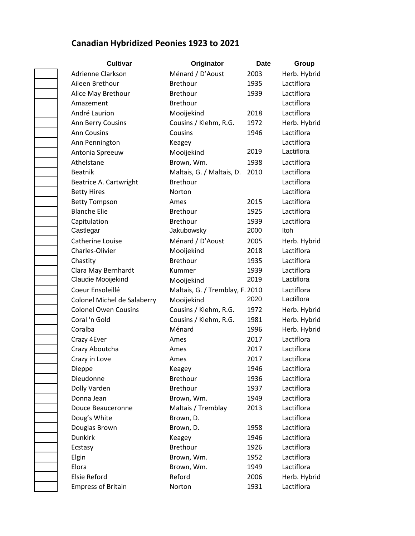## **Canadian Hybridized Peonies 1923 to 2021**

| Cultivar                    | Originator                      | <b>Date</b> | Group        |
|-----------------------------|---------------------------------|-------------|--------------|
| Adrienne Clarkson           | Ménard / D'Aoust                | 2003        | Herb. Hybrid |
| Aileen Brethour             | <b>Brethour</b>                 | 1935        | Lactiflora   |
| Alice May Brethour          | <b>Brethour</b>                 | 1939        | Lactiflora   |
| Amazement                   | <b>Brethour</b>                 |             | Lactiflora   |
| André Laurion               | Mooijekind                      | 2018        | Lactiflora   |
| Ann Berry Cousins           | Cousins / Klehm, R.G.           | 1972        | Herb. Hybrid |
| <b>Ann Cousins</b>          | Cousins                         | 1946        | Lactiflora   |
| Ann Pennington              | Keagey                          |             | Lactiflora   |
| Antonia Spreeuw             | Mooijekind                      | 2019        | Lactiflora   |
| Athelstane                  | Brown, Wm.                      | 1938        | Lactiflora   |
| <b>Beatnik</b>              | Maltais, G. / Maltais, D.       | 2010        | Lactiflora   |
| Beatrice A. Cartwright      | <b>Brethour</b>                 |             | Lactiflora   |
| <b>Betty Hires</b>          | Norton                          |             | Lactiflora   |
| <b>Betty Tompson</b>        | Ames                            | 2015        | Lactiflora   |
| <b>Blanche Elie</b>         | <b>Brethour</b>                 | 1925        | Lactiflora   |
| Capitulation                | Brethour                        | 1939        | Lactiflora   |
| Castlegar                   | Jakubowsky                      | 2000        | Itoh         |
| Catherine Louise            | Ménard / D'Aoust                | 2005        | Herb. Hybrid |
| <b>Charles-Olivier</b>      | Mooijekind                      | 2018        | Lactiflora   |
| Chastity                    | <b>Brethour</b>                 | 1935        | Lactiflora   |
| Clara May Bernhardt         | Kummer                          | 1939        | Lactiflora   |
| Claudie Mooijekind          | Mooijekind                      | 2019        | Lactiflora   |
| Coeur Ensoleillé            | Maltais, G. / Tremblay, F. 2010 |             | Lactiflora   |
| Colonel Michel de Salaberry | Mooijekind                      | 2020        | Lactiflora   |
| <b>Colonel Owen Cousins</b> | Cousins / Klehm, R.G.           | 1972        | Herb. Hybrid |
| Coral 'n Gold               | Cousins / Klehm, R.G.           | 1981        | Herb. Hybrid |
| Coralba                     | Ménard                          | 1996        | Herb. Hybrid |
| Crazy 4Ever                 | Ames                            | 2017        | Lactiflora   |
| Crazy Aboutcha              | Ames                            | 2017        | Lactiflora   |
| Crazy in Love               | Ames                            | 2017        | Lactiflora   |
| Dieppe                      | Keagey                          | 1946        | Lactiflora   |
| Dieudonne                   | Brethour                        | 1936        | Lactiflora   |
| Dolly Varden                | <b>Brethour</b>                 | 1937        | Lactiflora   |
| Donna Jean                  | Brown, Wm.                      | 1949        | Lactiflora   |
| Douce Beauceronne           | Maltais / Tremblay              | 2013        | Lactiflora   |
| Doug's White                | Brown, D.                       |             | Lactiflora   |
| Douglas Brown               | Brown, D.                       | 1958        | Lactiflora   |
| <b>Dunkirk</b>              | Keagey                          | 1946        | Lactiflora   |
| Ecstasy                     | Brethour                        | 1926        | Lactiflora   |
| Elgin                       | Brown, Wm.                      | 1952        | Lactiflora   |
| Elora                       | Brown, Wm.                      | 1949        | Lactiflora   |
| <b>Elsie Reford</b>         | Reford                          | 2006        | Herb. Hybrid |
| <b>Empress of Britain</b>   | Norton                          | 1931        | Lactiflora   |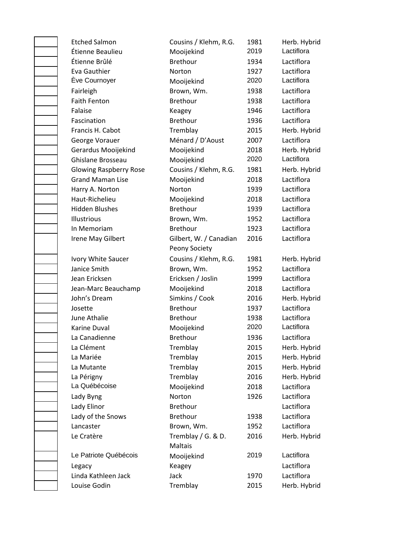Etched Salmon Cousins / Klehm, R.G. 1981 Herb. Hybrid Étienne Beaulieu Mooijekind 2019 Lactiflora Étienne Brûlé Brethour 1934 Lactiflora Eva Gauthier **Norton** Norton 1927 Lactiflora Ève Cournoyer Mooijekind 2020 Lactiflora Fairleigh **Brown, Wm.** 1938 Lactiflora Faith Fenton **Brethour** Brethour 1938 Lactiflora Falaise **Exercise Contracts** Keagey **1946** Lactiflora Fascination **Brethour** Brethour 1936 Lactiflora Francis H. Cabot Tremblay 2015 Herb. Hybrid George Vorauer Ménard / D'Aoust 2007 Lactiflora Gerardus Mooijekind Mooijekind 2018 Herb. Hybrid Ghislane Brosseau Mooijekind 2020 Lactiflora Glowing Raspberry Rose Cousins / Klehm, R.G. 1981 Herb. Hybrid Grand Maman Lise Mooijekind 2018 Lactiflora Harry A. Norton **Norton** Norton 1939 Lactiflora Haut-Richelieu Mooijekind 2018 Lactiflora Hidden Blushes Brethour 1939 Lactiflora Illustrious Brown, Wm. 1952 Lactiflora In Memoriam Brethour 1923 Lactiflora Irene May Gilbert Gilbert, W. / Canadian Peony Society Ivory White Saucer Cousins / Klehm, R.G. 1981 Herb. Hybrid Janice Smith **Brown, Wm.** 1952 Lactiflora Jean Ericksen Ericksen / Joslin 1999 Lactiflora Jean-Marc Beauchamp Mooijekind 2018 Lactiflora John's Dream Simkins / Cook 2016 Herb. Hybrid Josette Brethour 1937 Lactiflora June Athalie **1938** Lactiflora Karine Duval **Mooijekind** 2020 Lactiflora La Canadienne **1936** Lactiflora La Clément **Tremblay** 2015 Herb. Hybrid La Mariée **Tremblay 2015** Herb. Hybrid La Mutante **Tremblay 1998** Tremblay **1998** 2015 Herb. Hybrid La Périgny **Tremblay** 2016 Herb. Hybrid La Québécoise Mooijekind 2018 Lactiflora Lady Byng **Norton** 1926 Lactiflora Lady Elinor **Brethour** Brethour **Lactiflora** Lady of the Snows Brethour 1938 Lactiflora Lancaster Brown, Wm. 1952 Lactiflora Le Cratère Tremblay / G. & D. Maltais Le Patriote Québécois Mooijekind 2019 Lactiflora Legacy Keagey Lactiflora Linda Kathleen Jack Jack 1970 Lactiflora Louise Godin Tremblay 2015 Herb. Hybrid

2016 Lactiflora 2016 Herb. Hybrid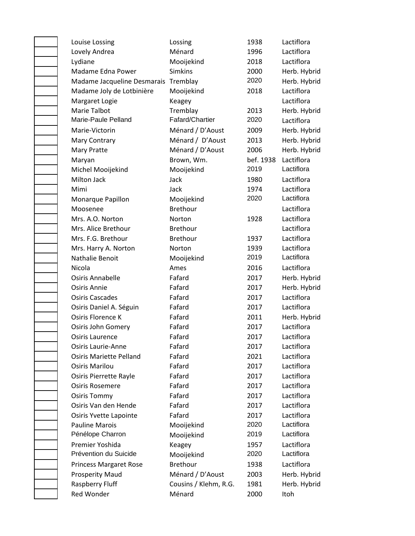| Louise Lossing                       | Lossing               | 1938      | Lactiflora   |
|--------------------------------------|-----------------------|-----------|--------------|
| Lovely Andrea                        | Ménard                | 1996      | Lactiflora   |
| Lydiane                              | Mooijekind            | 2018      | Lactiflora   |
| Madame Edna Power                    | <b>Simkins</b>        | 2000      | Herb. Hybrid |
| Madame Jacqueline Desmarais Tremblay |                       | 2020      | Herb. Hybrid |
| Madame Joly de Lotbinière            | Mooijekind            | 2018      | Lactiflora   |
| Margaret Logie                       | Keagey                |           | Lactiflora   |
| Marie Talbot                         | Tremblay              | 2013      | Herb. Hybrid |
| Marie-Paule Pelland                  | Fafard/Chartier       | 2020      | Lactiflora   |
| Marie-Victorin                       | Ménard / D'Aoust      | 2009      | Herb. Hybrid |
| Mary Contrary                        | Ménard / D'Aoust      | 2013      | Herb. Hybrid |
| <b>Mary Pratte</b>                   | Ménard / D'Aoust      | 2006      | Herb. Hybrid |
| Maryan                               | Brown, Wm.            | bef. 1938 | Lactiflora   |
| Michel Mooijekind                    | Mooijekind            | 2019      | Lactiflora   |
| <b>Milton Jack</b>                   | Jack                  | 1980      | Lactiflora   |
| Mimi                                 | Jack                  | 1974      | Lactiflora   |
| Monarque Papillon                    | Mooijekind            | 2020      | Lactiflora   |
| Moosenee                             | <b>Brethour</b>       |           | Lactiflora   |
| Mrs. A.O. Norton                     | Norton                | 1928      | Lactiflora   |
| Mrs. Alice Brethour                  | <b>Brethour</b>       |           | Lactiflora   |
| Mrs. F.G. Brethour                   | <b>Brethour</b>       | 1937      | Lactiflora   |
| Mrs. Harry A. Norton                 | Norton                | 1939      | Lactiflora   |
| Nathalie Benoit                      | Mooijekind            | 2019      | Lactiflora   |
| Nicola                               | Ames                  | 2016      | Lactiflora   |
| <b>Osiris Annabelle</b>              | Fafard                | 2017      | Herb. Hybrid |
| Osiris Annie                         | Fafard                | 2017      | Herb. Hybrid |
| <b>Osiris Cascades</b>               | Fafard                | 2017      | Lactiflora   |
| Osiris Daniel A. Séguin              | Fafard                | 2017      | Lactiflora   |
| Osiris Florence K                    | Fafard                | 2011      | Herb. Hybrid |
| <b>Osiris John Gomery</b>            | Fafard                | 2017      | Lactiflora   |
| Osiris Laurence                      | Fafard                | 2017      | Lactiflora   |
| <b>Osiris Laurie-Anne</b>            | Fafard                | 2017      | Lactiflora   |
| <b>Osiris Mariette Pelland</b>       | Fafard                | 2021      | Lactiflora   |
| <b>Osiris Marilou</b>                | Fafard                | 2017      | Lactiflora   |
| Osiris Pierrette Rayle               | Fafard                | 2017      | Lactiflora   |
| <b>Osiris Rosemere</b>               | Fafard                | 2017      | Lactiflora   |
| <b>Osiris Tommy</b>                  | Fafard                | 2017      | Lactiflora   |
| Osiris Van den Hende                 | Fafard                | 2017      | Lactiflora   |
| Osiris Yvette Lapointe               | Fafard                | 2017      | Lactiflora   |
| <b>Pauline Marois</b>                | Mooijekind            | 2020      | Lactiflora   |
| Pénélope Charron                     | Mooijekind            | 2019      | Lactiflora   |
| Premier Yoshida                      | Keagey                | 1957      | Lactiflora   |
| Prévention du Suicide                | Mooijekind            | 2020      | Lactiflora   |
| <b>Princess Margaret Rose</b>        | Brethour              | 1938      | Lactiflora   |
| <b>Prosperity Maud</b>               | Ménard / D'Aoust      | 2003      | Herb. Hybrid |
| Raspberry Fluff                      | Cousins / Klehm, R.G. | 1981      | Herb. Hybrid |
| Red Wonder                           | Ménard                | 2000      | Itoh         |
|                                      |                       |           |              |